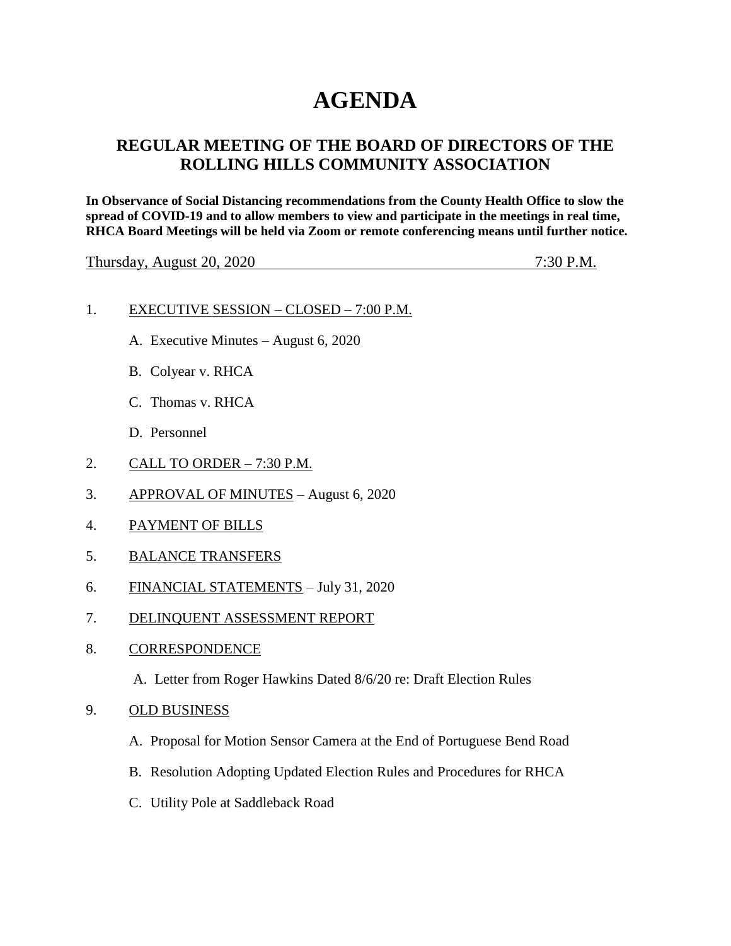# **AGENDA**

# **REGULAR MEETING OF THE BOARD OF DIRECTORS OF THE ROLLING HILLS COMMUNITY ASSOCIATION**

**In Observance of Social Distancing recommendations from the County Health Office to slow the spread of COVID-19 and to allow members to view and participate in the meetings in real time, RHCA Board Meetings will be held via Zoom or remote conferencing means until further notice.** 

Thursday, August 20, 2020 7:30 P.M.

#### 1. EXECUTIVE SESSION – CLOSED – 7:00 P.M.

- A. Executive Minutes August 6, 2020
- B. Colyear v. RHCA
- C. Thomas v. RHCA
- D. Personnel
- 2. CALL TO ORDER 7:30 P.M.
- 3. APPROVAL OF MINUTES August 6, 2020
- 4. PAYMENT OF BILLS
- 5. BALANCE TRANSFERS
- 6. FINANCIAL STATEMENTS July 31, 2020
- 7. DELINQUENT ASSESSMENT REPORT
- 8. CORRESPONDENCE
	- A. Letter from Roger Hawkins Dated 8/6/20 re: Draft Election Rules
- 9. OLD BUSINESS
	- A. Proposal for Motion Sensor Camera at the End of Portuguese Bend Road
	- B. Resolution Adopting Updated Election Rules and Procedures for RHCA
	- C. Utility Pole at Saddleback Road